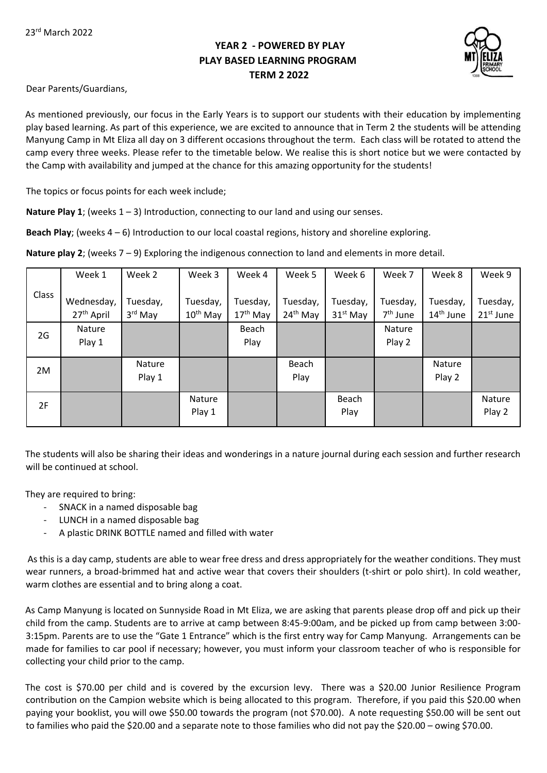# **YEAR 2 - POWERED BY PLAY PLAY BASED LEARNING PROGRAM TERM 2 2022**



Dear Parents/Guardians,

As mentioned previously, our focus in the Early Years is to support our students with their education by implementing play based learning. As part of this experience, we are excited to announce that in Term 2 the students will be attending Manyung Camp in Mt Eliza all day on 3 different occasions throughout the term. Each class will be rotated to attend the camp every three weeks. Please refer to the timetable below. We realise this is short notice but we were contacted by the Camp with availability and jumped at the chance for this amazing opportunity for the students!

The topics or focus points for each week include;

**Nature Play 1**; (weeks 1 – 3) Introduction, connecting to our land and using our senses.

**Beach Play**; (weeks 4 – 6) Introduction to our local coastal regions, history and shoreline exploring.

Class Week 1 Wednesday, 27th April Week 2 Tuesday, 3 rd May Week 3 Tuesday,  $10<sup>th</sup>$  May Week 4 Tuesday, 17<sup>th</sup> May Week 5 Tuesday, 24th May Week 6 Tuesday, 31st May Week 7 Tuesday, 7<sup>th</sup> June Week 8 Tuesday, 14th June Week 9 Tuesday, 21st June 2G Nature Play 1 Beach Play Nature Play 2 2M Nature Play 1 Beach Play Nature Play 2 2F Nature Play 1 Beach Play Nature Play 2

**Nature play 2**; (weeks 7 – 9) Exploring the indigenous connection to land and elements in more detail.

The students will also be sharing their ideas and wonderings in a nature journal during each session and further research will be continued at school.

They are required to bring:

- SNACK in a named disposable bag
- LUNCH in a named disposable bag
- A plastic DRINK BOTTLE named and filled with water

As this is a day camp, students are able to wear free dress and dress appropriately for the weather conditions. They must wear runners, a broad-brimmed hat and active wear that covers their shoulders (t-shirt or polo shirt). In cold weather, warm clothes are essential and to bring along a coat.

As Camp Manyung is located on Sunnyside Road in Mt Eliza, we are asking that parents please drop off and pick up their child from the camp. Students are to arrive at camp between 8:45-9:00am, and be picked up from camp between 3:00- 3:15pm. Parents are to use the "Gate 1 Entrance" which is the first entry way for Camp Manyung. Arrangements can be made for families to car pool if necessary; however, you must inform your classroom teacher of who is responsible for collecting your child prior to the camp.

The cost is \$70.00 per child and is covered by the excursion levy. There was a \$20.00 Junior Resilience Program contribution on the Campion website which is being allocated to this program. Therefore, if you paid this \$20.00 when paying your booklist, you will owe \$50.00 towards the program (not \$70.00). A note requesting \$50.00 will be sent out to families who paid the \$20.00 and a separate note to those families who did not pay the \$20.00 – owing \$70.00.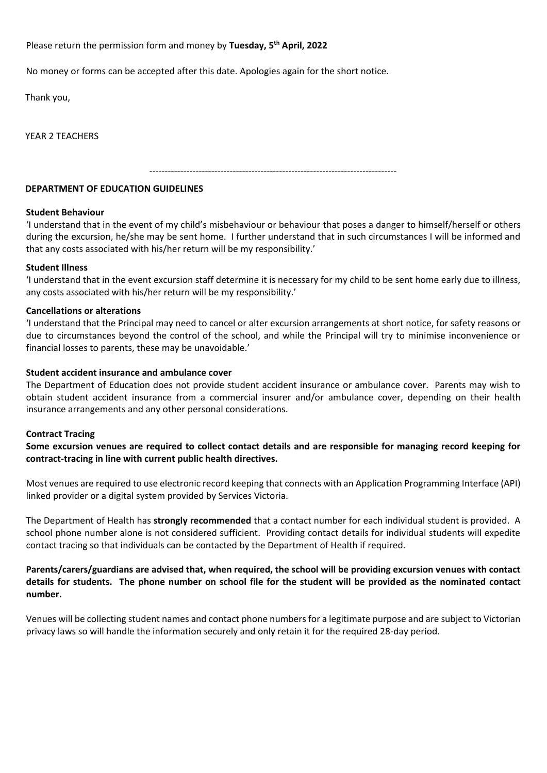Please return the permission form and money by **Tuesday, 5th April, 2022**

No money or forms can be accepted after this date. Apologies again for the short notice.

Thank you,

YEAR 2 TEACHERS

--------------------------------------------------------------------------------

### **DEPARTMENT OF EDUCATION GUIDELINES**

#### **Student Behaviour**

'I understand that in the event of my child's misbehaviour or behaviour that poses a danger to himself/herself or others during the excursion, he/she may be sent home. I further understand that in such circumstances I will be informed and that any costs associated with his/her return will be my responsibility.'

#### **Student Illness**

'I understand that in the event excursion staff determine it is necessary for my child to be sent home early due to illness, any costs associated with his/her return will be my responsibility.'

#### **Cancellations or alterations**

'I understand that the Principal may need to cancel or alter excursion arrangements at short notice, for safety reasons or due to circumstances beyond the control of the school, and while the Principal will try to minimise inconvenience or financial losses to parents, these may be unavoidable.'

#### **Student accident insurance and ambulance cover**

The Department of Education does not provide student accident insurance or ambulance cover. Parents may wish to obtain student accident insurance from a commercial insurer and/or ambulance cover, depending on their health insurance arrangements and any other personal considerations.

#### **Contract Tracing**

**Some excursion venues are required to collect contact details and are responsible for managing record keeping for contract-tracing in line with current public health directives.**

Most venues are required to use electronic record keeping that connects with an Application Programming Interface (API) linked provider or a digital system provided by Services Victoria.

The Department of Health has **strongly recommended** that a contact number for each individual student is provided. A school phone number alone is not considered sufficient. Providing contact details for individual students will expedite contact tracing so that individuals can be contacted by the Department of Health if required.

## **Parents/carers/guardians are advised that, when required, the school will be providing excursion venues with contact details for students. The phone number on school file for the student will be provided as the nominated contact number.**

Venues will be collecting student names and contact phone numbers for a legitimate purpose and are subject to Victorian privacy laws so will handle the information securely and only retain it for the required 28-day period.